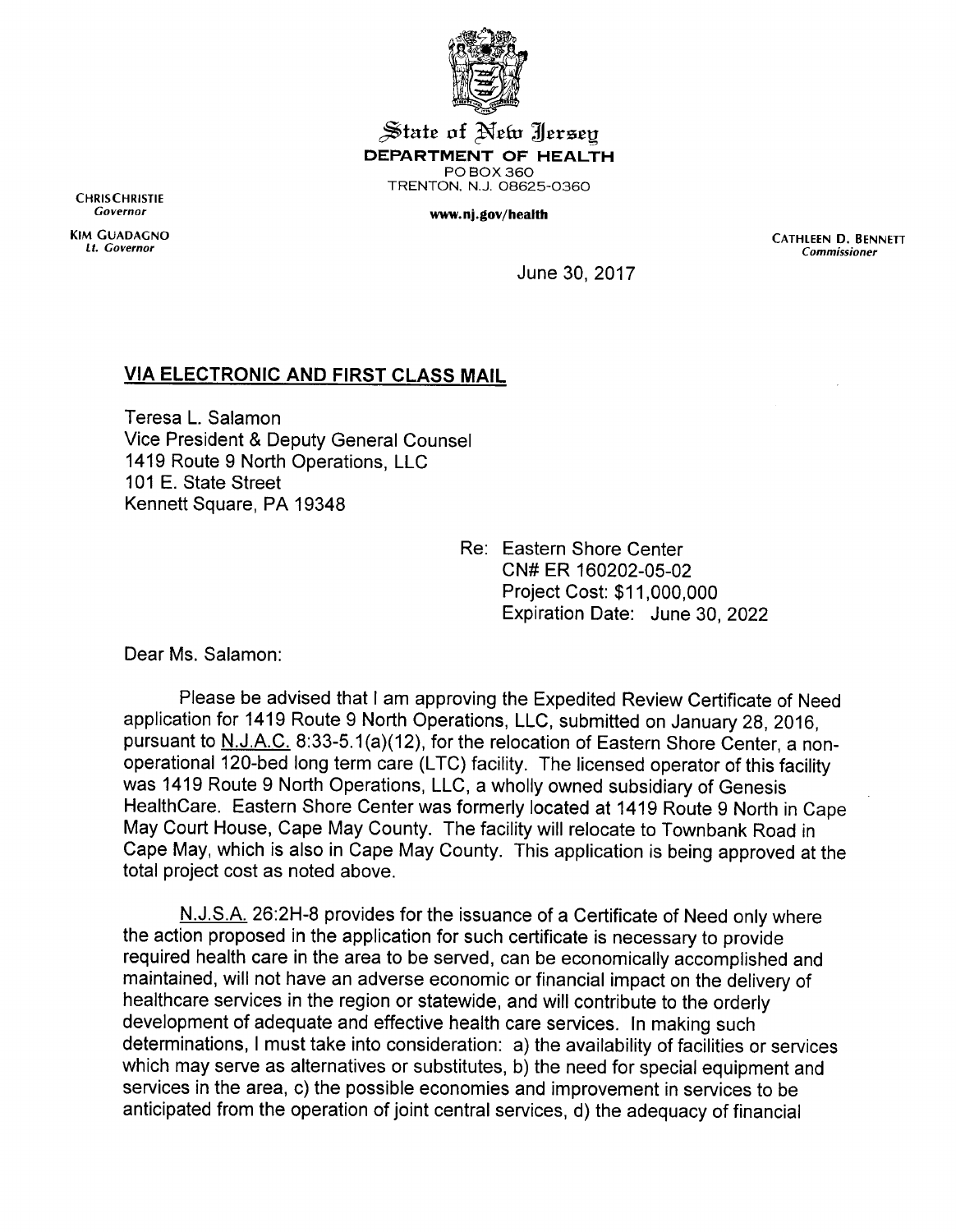

**State of New Jersey** *DEPARTMENT OF HEALTH* POBOX360 TRENTON, N.J. 08625-0360

## **Governor** *www.nj.gov/health*

CHRISCHRISTIE<br>Governor

KIM GUADAGNO<br>Lt. Governor Cathleen D. BENNETT (Commissioner Commissioner Commissioner Commissioner **Lt. Governor Commissioner**

June 30, 2017

## *VIA ELECTRONIC AND FIRST CLASS MAIL*

Teresa L. Salamon Vice President & Deputy General Counsel 1419 Route 9 North Operations, LLC 101 E. State Street Kennett Square, PA 19348

> Re: Eastern Shore Center CN#ER 160202-05-02 Project Cost: \$11,000,000 Expiration Date: June 30, 2022

Dear Ms. Salamon:

Please be advised that I am approving the Expedited Review Certificate of Need application for 1419 Route 9 North Operations, LLC, submitted on January 28, 2016, pursuant to N.J.A.C. 8:33-5.1(a)(12), for the relocation of Eastern Shore Center, a nonoperational 120-bed long term care (LTC) facility. The licensed operator of this facility was 1419 Route 9 North Operations, LLC, a wholly owned subsidiary of Genesis HealthCare. Eastern Shore Center was formerly located at 1419 Route 9 North in Cape May Court House, Cape May County. The facility will relocate to Townbank Road in Cape May, which is also in Cape May County. This application is being approved at the total project cost as noted above.

N.J.S.A. 26:2H-8 provides for the issuance of a Certificate of Need only where the action proposed in the application for such certificate is necessary to provide required health care in the area to be served, can be economically accomplished and maintained, will not have an adverse economic or financial impact on the delivery of healthcare services in the region or statewide, and will contribute to the orderly development of adequate and effective health care services. In making such determinations, I must take into consideration: a) the availability of facilities or services which may serve as alternatives or substitutes, b) the need for special equipment and services in the area, c) the possible economies and improvement in services to be anticipated from the operation of joint central services, d) the adequacy of financial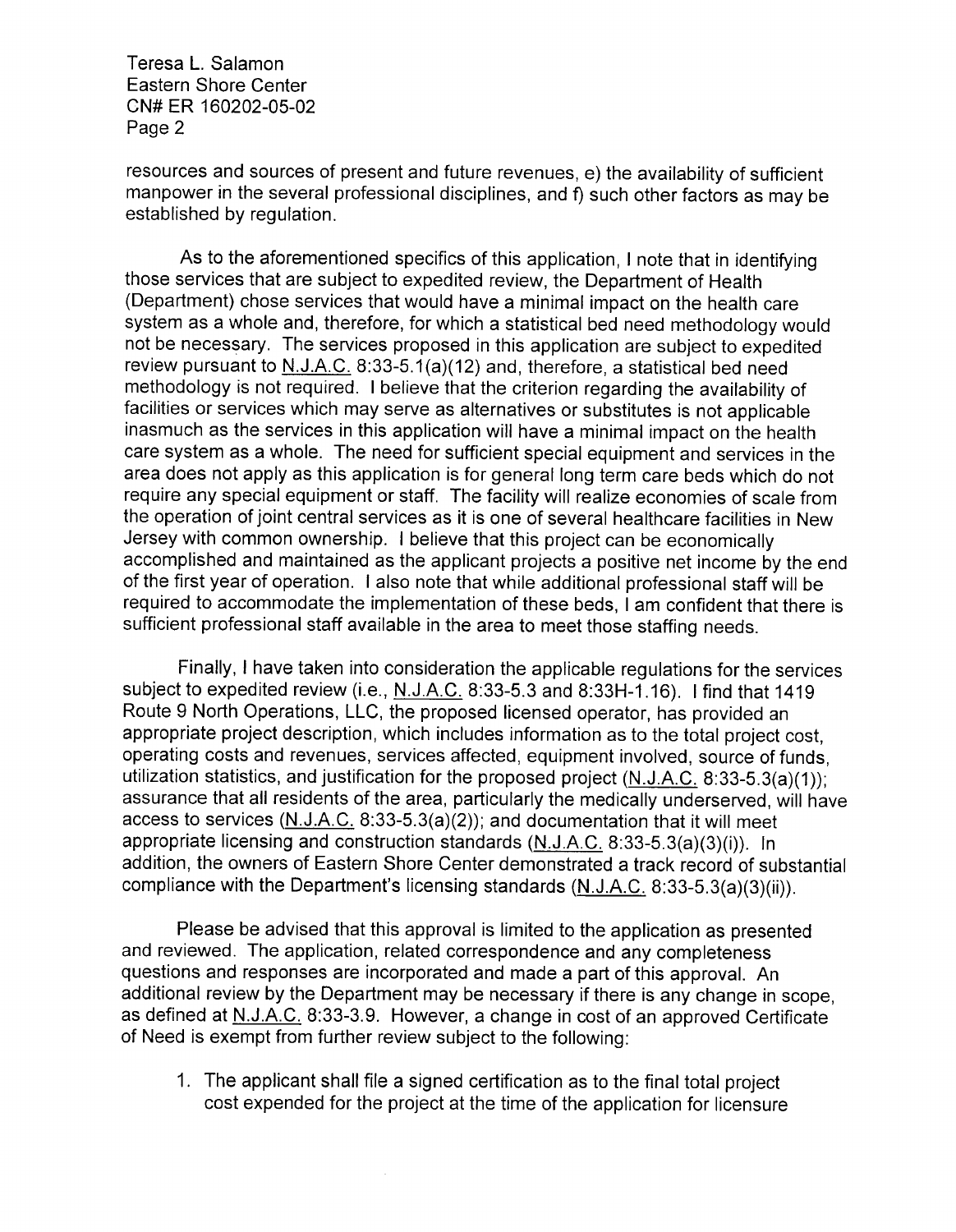Teresa L. Salamon Eastern Shore Center CN#ER 160202-05-02 Page 2

resources and sources of present and future revenues, e) the availability of sufficient manpower in the several professional disciplines, and f) such other factors as may be established by regulation.

As to the aforementioned specifics of this application, I note that in identifying those services that are subject to expedited review, the Department of Health (Department) chose services that would have a minimal impact on the health care system as a whole and, therefore, for which a statistical bed need methodologywould not be necessary. The services proposed in this application are subject to expedited review pursuant to  $N.J.A.C.$  8:33-5.1(a)(12) and, therefore, a statistical bed need methodology is not required. I believe that the criterion regarding the availability of facilities or services which may serve as alternatives or substitutes is not applicable inasmuch as the services in this application will have a minimal impact on the health care system as a whole. The need for sufficient special equipment and services in the area does not apply as this application is for general long term care beds which do not require any special equipment or staff. The facility will realize economies of scale from the operation of joint central services as it is one of several healthcare facilities in New Jersey with common ownership. I believe that this project can be economically accomplished and maintained as the applicant projects a positive net income by the end of the first year of operation. I also note that while additional professional staff will be required to accommodate the implementation of these beds, I am confident that there is sufficient professional staff available in the area to meet those staffing needs.

Finally, I have taken into consideration the applicable regulations for the services subject to expedited review (i.e., N.J.A.C. 8:33-5.3 and 8:33H-1.16). I find that 1419 Route 9 North Operations, LLC, the proposed licensed operator, has provided an appropriate project description, which includes information as to the total project cost, operating costs and revenues, services affected, equipment involved, source of funds, utilization statistics, and justification for the proposed project (N.J.A.C. 8:33-5.3(a)(1)); assurance that all residents of the area, particularly the medically underserved, will have access to services  $(N_{1}J_{2}AC. 8.33-5.3(a)(2))$ ; and documentation that it will meet appropriate licensing and construction standards (N.J.A.C. 8:33-5.3(a)(3)(i)). In addition, the owners of Eastern Shore Center demonstrated a track record of substantial compliance with the Department's licensing standards (N.J.A.C. 8:33-5.3(a)(3)(ii)).

Please be advised that this approval is limited to the application as presented and reviewed. The application, related correspondence and any completeness questions and responses are incorporated and made a part of this approval. An additional review by the Department may be necessary if there is any change in scope, as defined at N.J.A.C. 8:33-3.9. However, a change in cost of an approved Certificate of Need is exempt from further review subject to the following:

1. The applicant shall file a signed certification as to the final total project cost expended for the project at the time of the application for licensure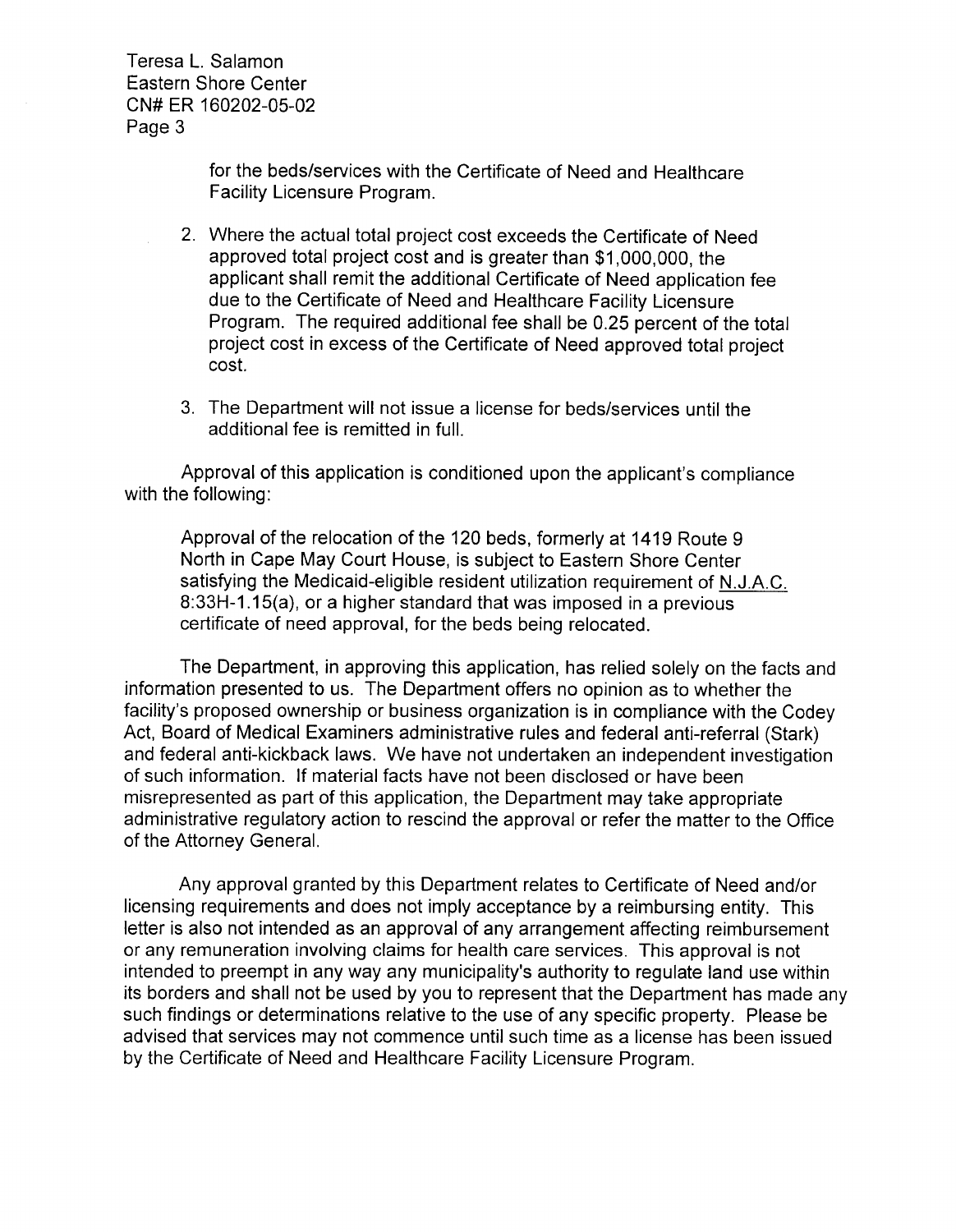Teresa L. Salamon Eastern Shore Center CN#ER 160202-05-02 Page 3

> for the beds/services with the Certificate of Need and Healthcare Facility Licensure Program.

- 2. Where the actual total project cost exceeds the Certificate of Need approved total project cost and is greater than \$1,000,000, the applicant shall remit the additional Certificate of Need application fee due to the Certificate of Need and Healthcare Facility Licensure Program. The required additional fee shall be 0.25 percent of the total project cost in excess of the Certificate of Need approved total project cost.
- 3. The Department will not issue a license for beds/services until the additional fee is remitted in full.

Approval of this application is conditioned upon the applicant's compliance with the following:

Approval of the relocation of the 120 beds, formerly at 1419 Route 9 North in Cape May Court House, is subject to Eastern Shore Center satisfying the Medicaid-eligible resident utilization requirement of N.J.A.C. 8:33H-1.15(a), or a higher standard that was imposed in a previous certificate of need approval, for the beds being relocated.

The Department, in approving this application, has relied solely on the facts and information presented to us. The Department offers no opinion as to whether the facility's proposed ownership or business organization is in compliance with the Codey Act, Board of Medical Examiners administrative rules and federal anti-referral (Stark) and federal anti-kickback laws. We have not undertaken an independent investigation of such information. If material facts have not been disclosed or have been misrepresented as part of this application, the Department may take appropriate administrative regulatory action to rescind the approval or refer the matter to the Office of the Attorney General.

Any approval granted by this Department relates to Certificate of Need and/or licensing requirements and does not imply acceptance by a reimbursing entity. This letter is also not intended as an approval of any arrangement affecting reimbursement or any remuneration involving claims for health care services. This approval is not intended to preempt in any way any municipality's authority to regulate land use within its borders and shall not be used by you to represent that the Department has made any such findings or determinations relative to the use of any specific property. Please be advised that services may not commence until such time as a license has been issued by the Certificate of Need and Healthcare Facility Licensure Program.